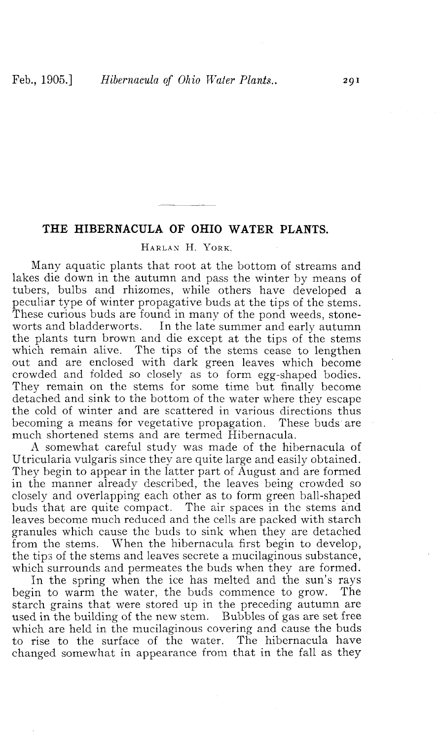## **THE HIBERNACULA OF OHIO WATER PLANTS.**

## HARLAN H. YORK.

Many aquatic plants that root at the bottom of streams and lakes die down in the autumn and pass the winter by means of tubers, bulbs and rhizomes, while others have developed a peculiar type of winter propagative buds at the tips of the stems. These curious buds are found in many of the pond weeds, stoneworts and bladderworts. In the late summer and early autumn the plants turn brown and die except at the tips of the stems which remain alive. The tips of the stems cease to lengthen out and are enclosed with dark green leaves which become crowded and folded so closely as to form egg-shaped bodies. They remain on the stems for some time but finally become detached and sink to the bottom of the water where they escape the cold of winter and are scattered in various directions thus becoming a means for vegetative propagation. These buds are much shortened stems and are termed Hibernacula.

A somewhat careful study was made of the hibernacula of Utricularia vulgaris since they are quite large and easily obtained. They begin to appear in the latter part of August and are formed in the manner already described, the leaves being crowded so closely and overlapping each other as to form green ball-shaped buds that are quite compact. The air spaces in the stems and leaves become much reduced and the cells are packed with starch granules which cause the buds to sink when they are detached from the stems. When the hibernacula first begin to develop, the tips of the stems and leaves secrete a mucilaginous substance, which surrounds and permeates the buds when they are formed.

In the spring when the ice has melted and the sun's rays begin to warm the water, the buds commence to grow. The starch grains that were stored up in the preceding autumn are used in the building of the new stem. Bubbles of gas are set free which are held in the mucilaginous covering and cause the buds to rise to the surface of the water. The hibernacula have changed somewhat in appearance from that in the fall as they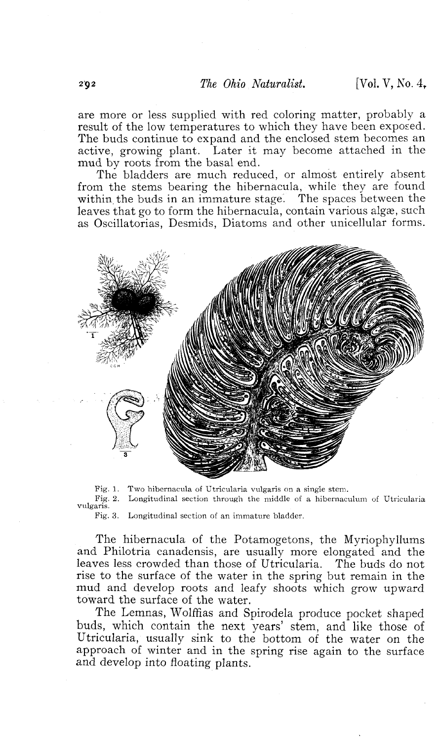are more or less supplied with red coloring matter, probably a result of the low temperatures to which they have been exposed. The buds continue to expand and the enclosed stem becomes an active, growing plant. Later it may become attached in the mud by roots from the basal end.

The bladders are much reduced, or almost entirely absent from the stems bearing the hibernacula, while they are found within the buds in an immature stage. The spaces between the leaves that go to form the hibernacula, contain various algae, such as Oscillatorias, Desmids, Diatoms and other unicellular forms.



Fig. 1. Two hibernacula of Utricularia vulgaris on a single stem. Longitudinal section through the middle of a hibernaculum of Utricularia

vulgaris.

Fig. 3. Longitudinal section of an immature bladder.

The hibernacula of the Potamogetons, the Myriophyllums and Philotria canadensis, are usually more elongated and the leaves less crowded than those of Utricularia. The buds do not rise to the surface of the water in the spring but remain in the mud and develop roots and leafy shoots which grow upward toward the surface of the water.

The Lemnas, Wolffias and Spirodela produce pocket shaped buds, which contain the next years' stem, and like those of Utricularia, usually sink to the bottom of the water on the approach of winter and in the spring rise again to the surface and develop into floating plants.